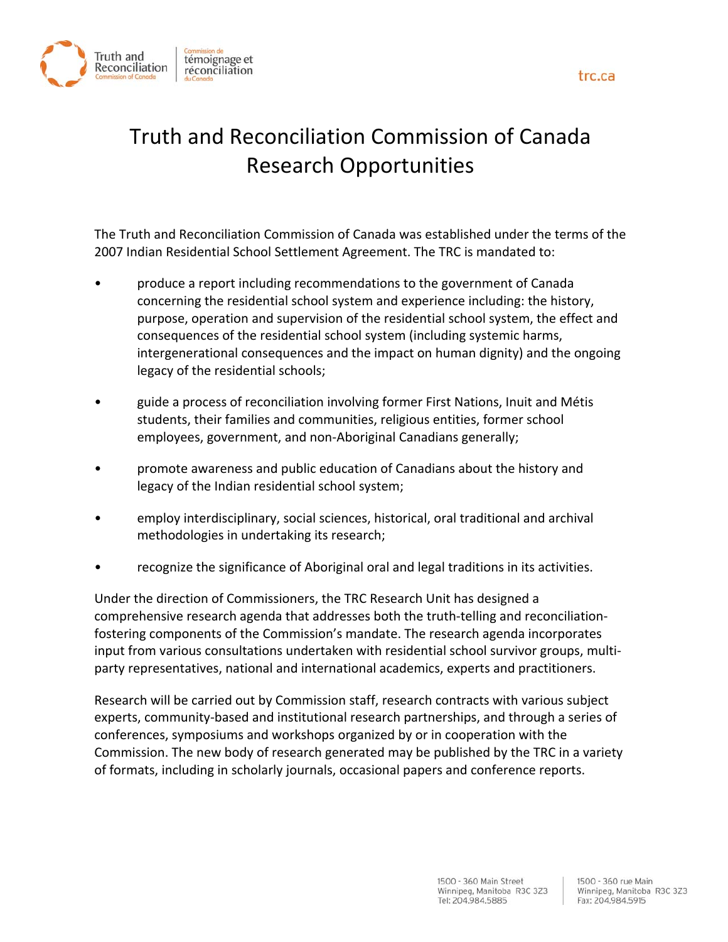



# Truth and Reconciliation Commission of Canada Research Opportunities

The Truth and Reconciliation Commission of Canada was established under the terms of the 2007 Indian Residential School Settlement Agreement. The TRC is mandated to:

- produce a report including recommendations to the government of Canada concerning the residential school system and experience including: the history, purpose, operation and supervision of the residential school system, the effect and consequences of the residential school system (including systemic harms, intergenerational consequences and the impact on human dignity) and the ongoing legacy of the residential schools;
- guide a process of reconciliation involving former First Nations, Inuit and Métis students, their families and communities, religious entities, former school employees, government, and non‐Aboriginal Canadians generally;
- promote awareness and public education of Canadians about the history and legacy of the Indian residential school system;
- employ interdisciplinary, social sciences, historical, oral traditional and archival methodologies in undertaking its research;
- recognize the significance of Aboriginal oral and legal traditions in its activities.

Under the direction of Commissioners, the TRC Research Unit has designed a comprehensive research agenda that addresses both the truth‐telling and reconciliation‐ fostering components of the Commission's mandate. The research agenda incorporates input from various consultations undertaken with residential school survivor groups, multi‐ party representatives, national and international academics, experts and practitioners.

Research will be carried out by Commission staff, research contracts with various subject experts, community‐based and institutional research partnerships, and through a series of conferences, symposiums and workshops organized by or in cooperation with the Commission. The new body of research generated may be published by the TRC in a variety of formats, including in scholarly journals, occasional papers and conference reports.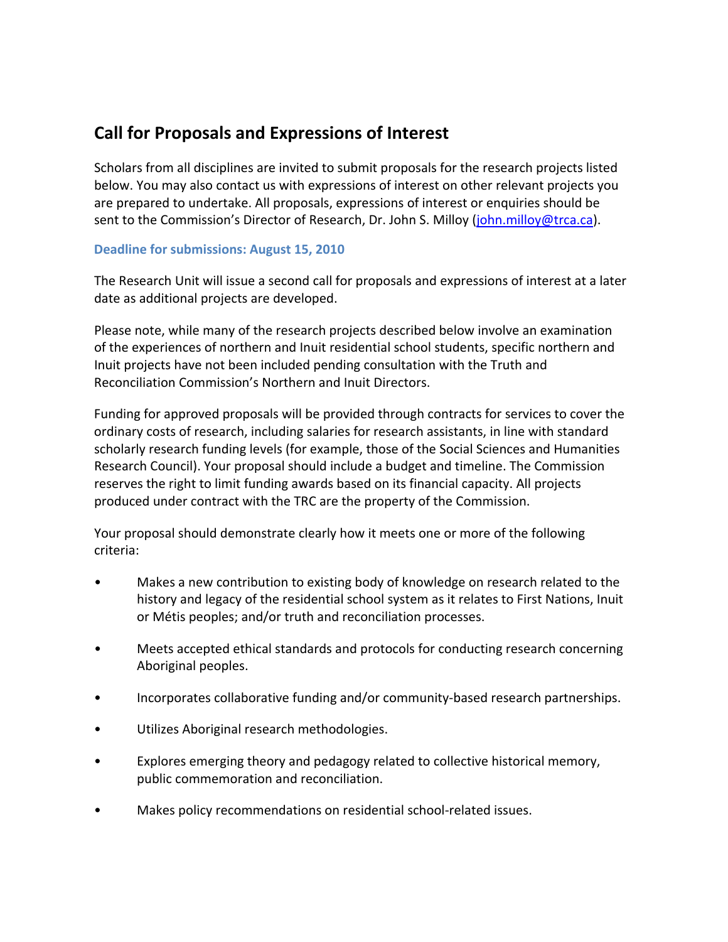# **Call for Proposals and Expressions of Interest**

Scholars from all disciplines are invited to submit proposals for the research projects listed below. You may also contact us with expressions of interest on other relevant projects you are prepared to undertake. All proposals, expressions of interest or enquiries should be sent to the Commission's Director of Research, Dr. John S. Milloy (john.milloy@trca.ca).

### **Deadline for submissions: August 15, 2010**

The Research Unit will issue a second call for proposals and expressions of interest at a later date as additional projects are developed.

Please note, while many of the research projects described below involve an examination of the experiences of northern and Inuit residential school students, specific northern and Inuit projects have not been included pending consultation with the Truth and Reconciliation Commission's Northern and Inuit Directors.

Funding for approved proposals will be provided through contracts for services to cover the ordinary costs of research, including salaries for research assistants, in line with standard scholarly research funding levels (for example, those of the Social Sciences and Humanities Research Council). Your proposal should include a budget and timeline. The Commission reserves the right to limit funding awards based on its financial capacity. All projects produced under contract with the TRC are the property of the Commission.

Your proposal should demonstrate clearly how it meets one or more of the following criteria:

- Makes a new contribution to existing body of knowledge on research related to the history and legacy of the residential school system as it relates to First Nations, Inuit or Métis peoples; and/or truth and reconciliation processes.
- Meets accepted ethical standards and protocols for conducting research concerning Aboriginal peoples.
- Incorporates collaborative funding and/or community-based research partnerships.
- Utilizes Aboriginal research methodologies.
- Explores emerging theory and pedagogy related to collective historical memory, public commemoration and reconciliation.
- Makes policy recommendations on residential school‐related issues.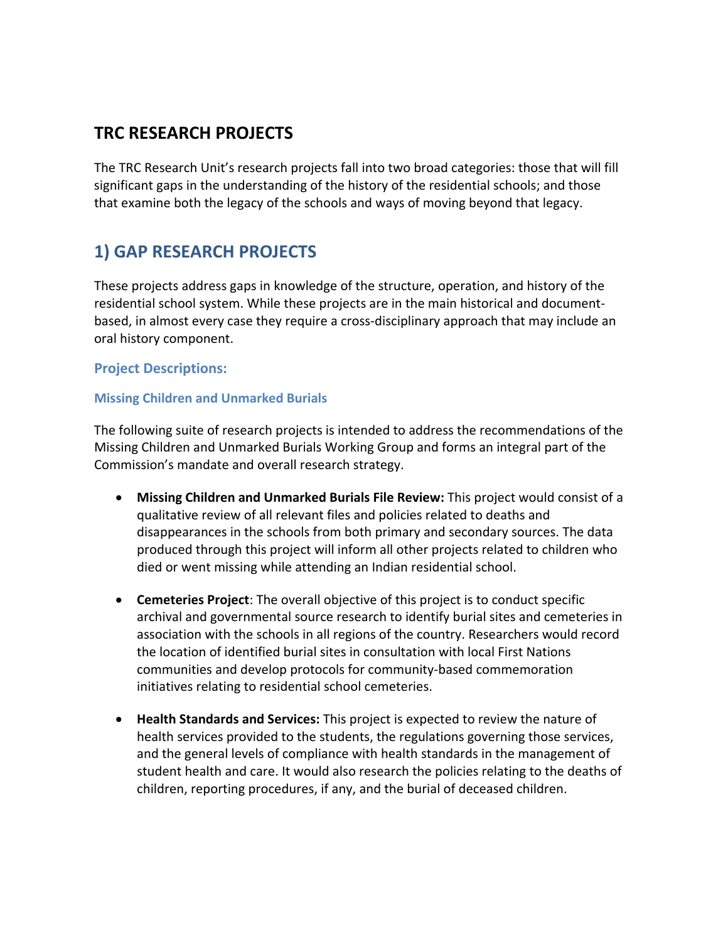# **TRC RESEARCH PROJECTS**

The TRC Research Unit's research projects fall into two broad categories: those that will fill significant gaps in the understanding of the history of the residential schools; and those that examine both the legacy of the schools and ways of moving beyond that legacy.

# **1) GAP RESEARCH PROJECTS**

These projects address gaps in knowledge of the structure, operation, and history of the residential school system. While these projects are in the main historical and document‐ based, in almost every case they require a cross‐disciplinary approach that may include an oral history component.

### **Project Descriptions:**

#### **Missing Children and Unmarked Burials**

The following suite of research projects is intended to address the recommendations of the Missing Children and Unmarked Burials Working Group and forms an integral part of the Commission's mandate and overall research strategy.

- **Missing Children and Unmarked Burials File Review:** This project would consist of a qualitative review of all relevant files and policies related to deaths and disappearances in the schools from both primary and secondary sources. The data produced through this project will inform all other projects related to children who died or went missing while attending an Indian residential school.
- **Cemeteries Project**: The overall objective of this project is to conduct specific archival and governmental source research to identify burial sites and cemeteries in association with the schools in all regions of the country. Researchers would record the location of identified burial sites in consultation with local First Nations communities and develop protocols for community‐based commemoration initiatives relating to residential school cemeteries.
- **Health Standards and Services:** This project is expected to review the nature of health services provided to the students, the regulations governing those services, and the general levels of compliance with health standards in the management of student health and care. It would also research the policies relating to the deaths of children, reporting procedures, if any, and the burial of deceased children.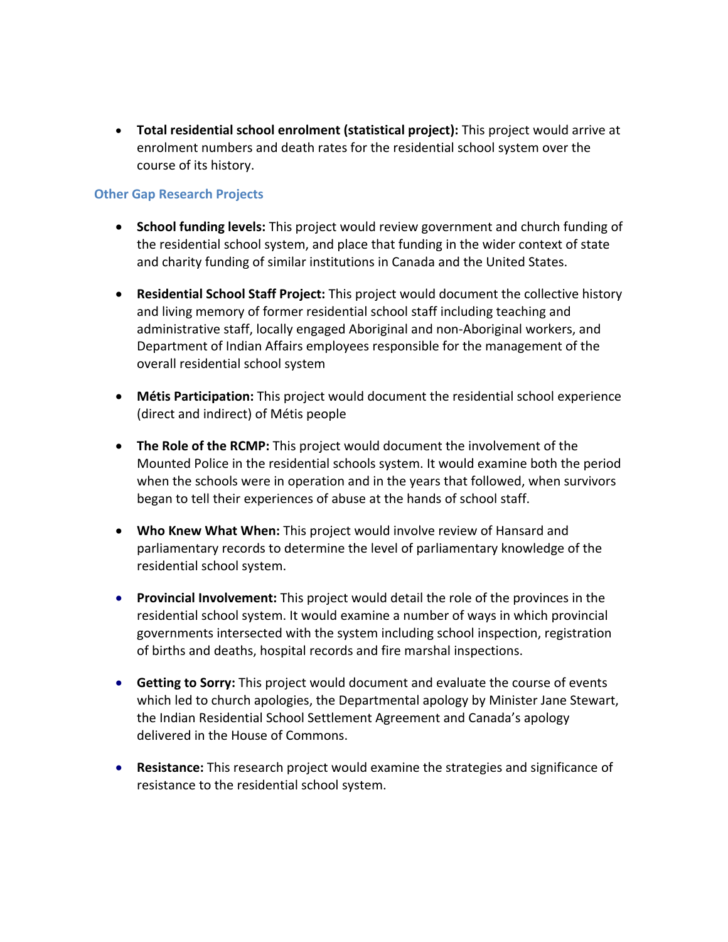• **Total residential school enrolment (statistical project):** This project would arrive at enrolment numbers and death rates for the residential school system over the course of its history.

#### **Other Gap Research Projects**

- **School funding levels:** This project would review government and church funding of the residential school system, and place that funding in the wider context of state and charity funding of similar institutions in Canada and the United States.
- **Residential School Staff Project:** This project would document the collective history and living memory of former residential school staff including teaching and administrative staff, locally engaged Aboriginal and non‐Aboriginal workers, and Department of Indian Affairs employees responsible for the management of the overall residential school system
- **Métis Participation:** This project would document the residential school experience (direct and indirect) of Métis people
- **The Role of the RCMP:** This project would document the involvement of the Mounted Police in the residential schools system. It would examine both the period when the schools were in operation and in the years that followed, when survivors began to tell their experiences of abuse at the hands of school staff.
- **Who Knew What When:** This project would involve review of Hansard and parliamentary records to determine the level of parliamentary knowledge of the residential school system.
- **Provincial Involvement:** This project would detail the role of the provinces in the residential school system. It would examine a number of ways in which provincial governments intersected with the system including school inspection, registration of births and deaths, hospital records and fire marshal inspections.
- **Getting to Sorry:** This project would document and evaluate the course of events which led to church apologies, the Departmental apology by Minister Jane Stewart, the Indian Residential School Settlement Agreement and Canada's apology delivered in the House of Commons.
- **Resistance:** This research project would examine the strategies and significance of resistance to the residential school system.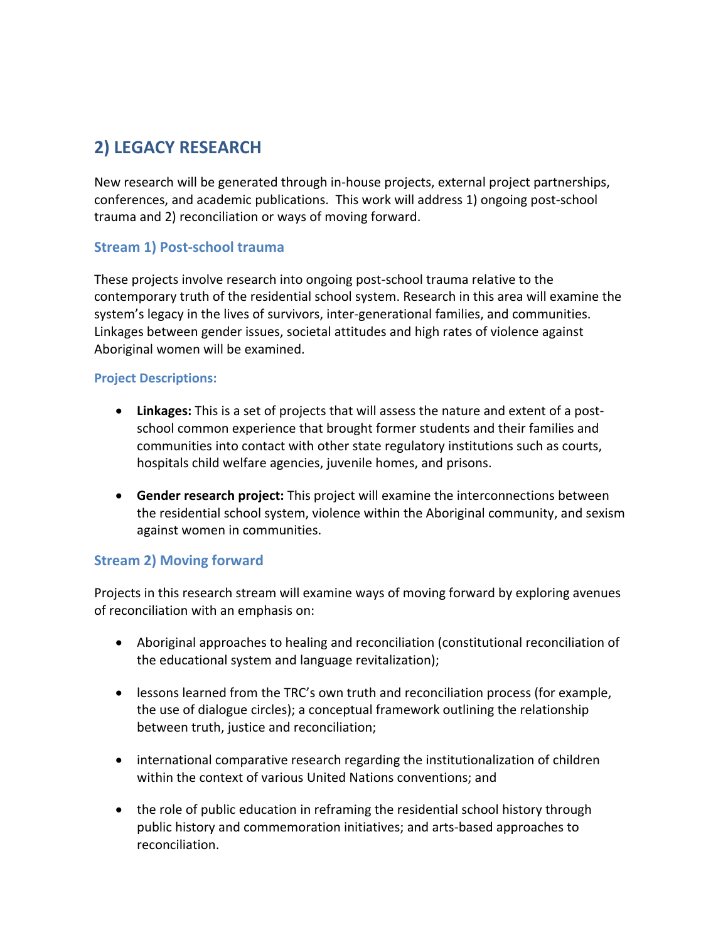# **2) LEGACY RESEARCH**

New research will be generated through in‐house projects, external project partnerships, conferences, and academic publications. This work will address 1) ongoing post‐school trauma and 2) reconciliation or ways of moving forward.

## **Stream 1) Post‐school trauma**

These projects involve research into ongoing post‐school trauma relative to the contemporary truth of the residential school system. Research in this area will examine the system's legacy in the lives of survivors, inter‐generational families, and communities. Linkages between gender issues, societal attitudes and high rates of violence against Aboriginal women will be examined.

#### **Project Descriptions:**

- **Linkages:** This is a set of projects that will assess the nature and extent of a post‐ school common experience that brought former students and their families and communities into contact with other state regulatory institutions such as courts, hospitals child welfare agencies, juvenile homes, and prisons.
- **Gender research project:** This project will examine the interconnections between the residential school system, violence within the Aboriginal community, and sexism against women in communities.

### **Stream 2) Moving forward**

Projects in this research stream will examine ways of moving forward by exploring avenues of reconciliation with an emphasis on:

- Aboriginal approaches to healing and reconciliation (constitutional reconciliation of the educational system and language revitalization);
- lessons learned from the TRC's own truth and reconciliation process (for example, the use of dialogue circles); a conceptual framework outlining the relationship between truth, justice and reconciliation;
- international comparative research regarding the institutionalization of children within the context of various United Nations conventions; and
- the role of public education in reframing the residential school history through public history and commemoration initiatives; and arts‐based approaches to reconciliation.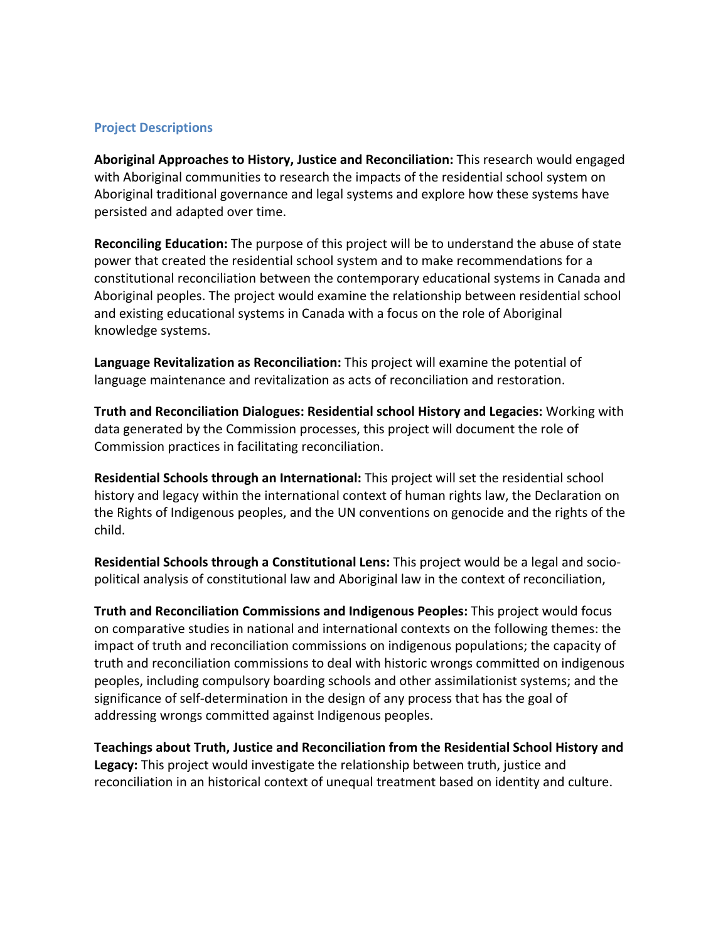#### **Project Descriptions**

**Aboriginal Approaches to History, Justice and Reconciliation:** This research would engaged with Aboriginal communities to research the impacts of the residential school system on Aboriginal traditional governance and legal systems and explore how these systems have persisted and adapted over time.

**Reconciling Education:** The purpose of this project will be to understand the abuse of state power that created the residential school system and to make recommendations for a constitutional reconciliation between the contemporary educational systems in Canada and Aboriginal peoples. The project would examine the relationship between residential school and existing educational systems in Canada with a focus on the role of Aboriginal knowledge systems.

**Language Revitalization as Reconciliation:** This project will examine the potential of language maintenance and revitalization as acts of reconciliation and restoration.

**Truth and Reconciliation Dialogues: Residential school History and Legacies:** Working with data generated by the Commission processes, this project will document the role of Commission practices in facilitating reconciliation.

**Residential Schools through an International:** This project will set the residential school history and legacy within the international context of human rights law, the Declaration on the Rights of Indigenous peoples, and the UN conventions on genocide and the rights of the child.

**Residential Schools through a Constitutional Lens:** This project would be a legal and socio‐ political analysis of constitutional law and Aboriginal law in the context of reconciliation,

**Truth and Reconciliation Commissions and Indigenous Peoples:** This project would focus on comparative studies in national and international contexts on the following themes: the impact of truth and reconciliation commissions on indigenous populations; the capacity of truth and reconciliation commissions to deal with historic wrongs committed on indigenous peoples, including compulsory boarding schools and other assimilationist systems; and the significance of self‐determination in the design of any process that has the goal of addressing wrongs committed against Indigenous peoples.

**Teachings about Truth, Justice and Reconciliation from the Residential School History and Legacy:** This project would investigate the relationship between truth, justice and reconciliation in an historical context of unequal treatment based on identity and culture.